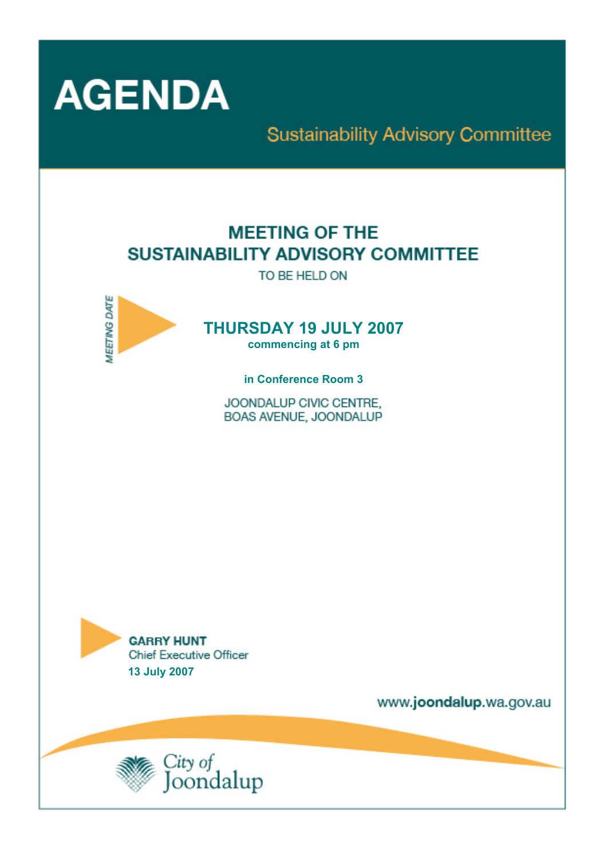

## **Sustainability Advisory Committee**

## **MEETING OF THE** SUSTAINABILITY ADVISORY COMMITTEE

TO BE HELD ON



# **THURSDAY 19 JULY 2007**

**commencing at 6 pm** 

**in Conference Room 3** 

JOONDALUP CIVIC CENTRE. BOAS AVENUE, JOONDALUP



www.joondalup.wa.gov.au

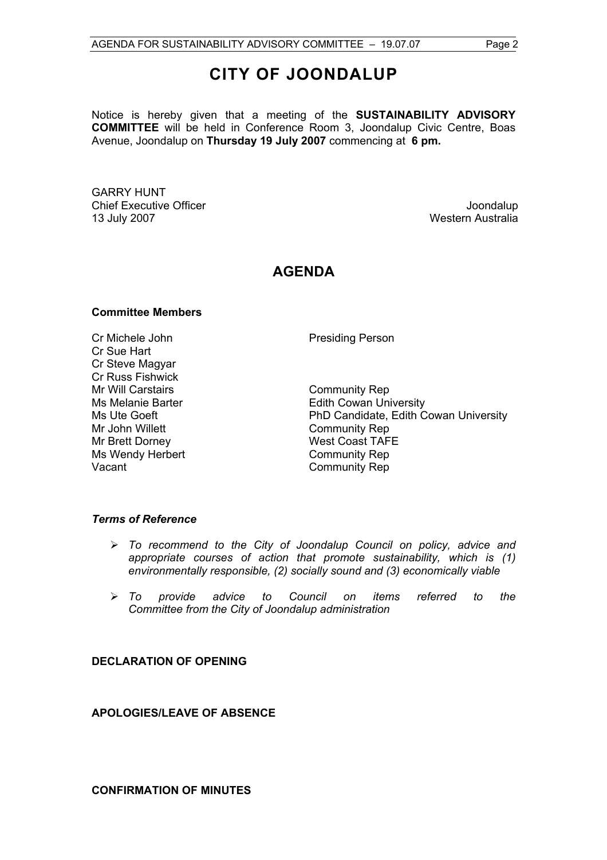Notice is hereby given that a meeting of the **SUSTAINABILITY ADVISORY COMMITTEE** will be held in Conference Room 3, Joondalup Civic Centre, Boas Avenue, Joondalup on **Thursday 19 July 2007** commencing at **6 pm.** 

GARRY HUNT Chief Executive Officer  $\Box$  Joondalup Joondalup 13 July 2007 Western Australia

## **AGENDA**

#### **Committee Members**

Cr Michele John Presiding Person Cr Sue Hart Cr Steve Magyar Cr Russ Fishwick Mr Will Carstairs **Community Rep** Mr John Willett **Community Rep** Mr Brett Dorney<br>
Ms Wendy Herbert<br>
Ms Wendy Herbert<br>
Ms Wendy Herbert<br>
Ms Wendy Herbert<br>
Ms Wendy Herbert<br>
Ms Wendy Herbert<br>
Ms Wendy Herbert<br>
Ms Wendy Herbert<br>
Ms Wendy Herbert Ms Wendy Herbert Vacant **Community** Rep

Ms Melanie Barter **Edith Cowan University** Ms Ute Goeft **PhD Candidate, Edith Cowan University** 

#### *Terms of Reference*

- ¾ *To recommend to the City of Joondalup Council on policy, advice and appropriate courses of action that promote sustainability, which is (1) environmentally responsible, (2) socially sound and (3) economically viable*
- ¾ *To provide advice to Council on items referred to the Committee from the City of Joondalup administration*

**DECLARATION OF OPENING** 

**APOLOGIES/LEAVE OF ABSENCE** 

**CONFIRMATION OF MINUTES**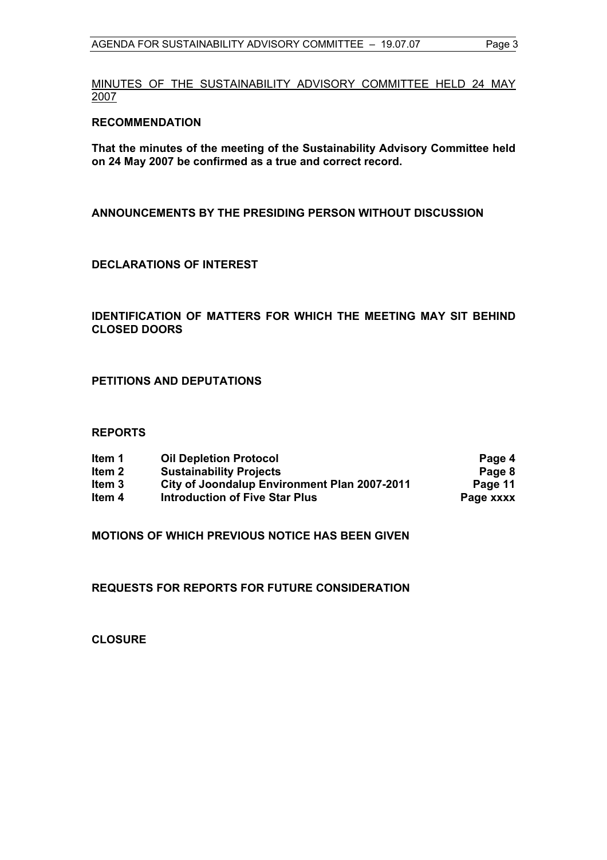MINUTES OF THE SUSTAINABILITY ADVISORY COMMITTEE HELD 24 MAY 2007

#### **RECOMMENDATION**

**That the minutes of the meeting of the Sustainability Advisory Committee held on 24 May 2007 be confirmed as a true and correct record.** 

**ANNOUNCEMENTS BY THE PRESIDING PERSON WITHOUT DISCUSSION** 

#### **DECLARATIONS OF INTEREST**

#### **IDENTIFICATION OF MATTERS FOR WHICH THE MEETING MAY SIT BEHIND CLOSED DOORS**

#### **PETITIONS AND DEPUTATIONS**

#### **REPORTS**

| ltem 1 | <b>Oil Depletion Protocol</b>                | Page 4    |
|--------|----------------------------------------------|-----------|
| Item 2 | <b>Sustainability Projects</b>               | Page 8    |
| ltem 3 | City of Joondalup Environment Plan 2007-2011 | Page 11   |
| ltem 4 | <b>Introduction of Five Star Plus</b>        | Page xxxx |

**MOTIONS OF WHICH PREVIOUS NOTICE HAS BEEN GIVEN** 

**REQUESTS FOR REPORTS FOR FUTURE CONSIDERATION** 

**CLOSURE**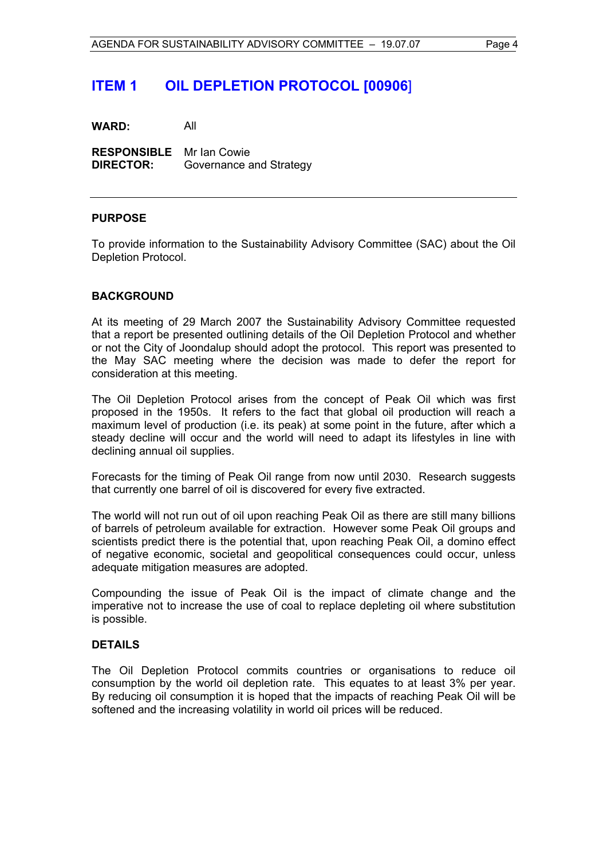### **ITEM 1 OIL DEPLETION PROTOCOL [00906**]

**WARD:** All

**RESPONSIBLE** Mr Ian Cowie **DIRECTOR:** Governance and Strategy

#### **PURPOSE**

To provide information to the Sustainability Advisory Committee (SAC) about the Oil Depletion Protocol.

#### **BACKGROUND**

At its meeting of 29 March 2007 the Sustainability Advisory Committee requested that a report be presented outlining details of the Oil Depletion Protocol and whether or not the City of Joondalup should adopt the protocol. This report was presented to the May SAC meeting where the decision was made to defer the report for consideration at this meeting.

The Oil Depletion Protocol arises from the concept of Peak Oil which was first proposed in the 1950s. It refers to the fact that global oil production will reach a maximum level of production (i.e. its peak) at some point in the future, after which a steady decline will occur and the world will need to adapt its lifestyles in line with declining annual oil supplies.

Forecasts for the timing of Peak Oil range from now until 2030. Research suggests that currently one barrel of oil is discovered for every five extracted.

The world will not run out of oil upon reaching Peak Oil as there are still many billions of barrels of petroleum available for extraction. However some Peak Oil groups and scientists predict there is the potential that, upon reaching Peak Oil, a domino effect of negative economic, societal and geopolitical consequences could occur, unless adequate mitigation measures are adopted.

Compounding the issue of Peak Oil is the impact of climate change and the imperative not to increase the use of coal to replace depleting oil where substitution is possible.

#### **DETAILS**

The Oil Depletion Protocol commits countries or organisations to reduce oil consumption by the world oil depletion rate. This equates to at least 3% per year. By reducing oil consumption it is hoped that the impacts of reaching Peak Oil will be softened and the increasing volatility in world oil prices will be reduced.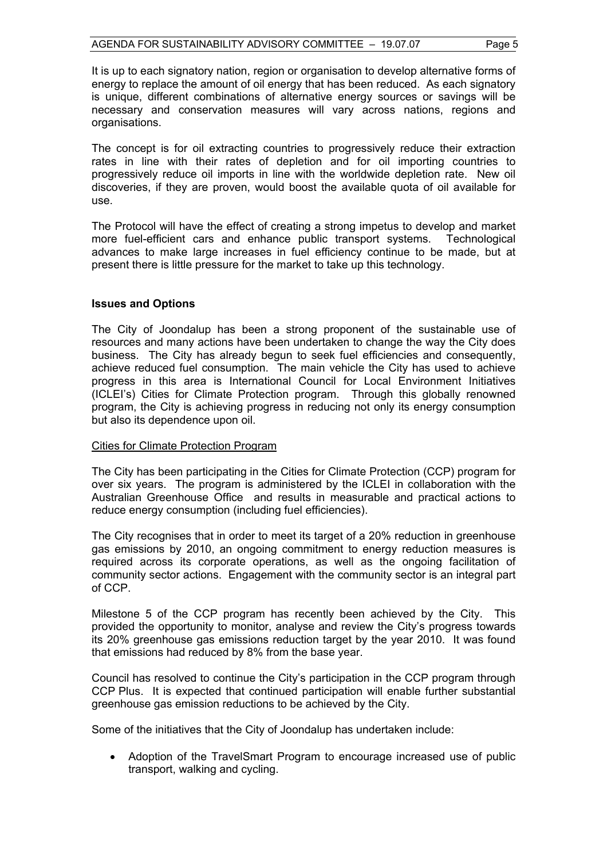It is up to each signatory nation, region or organisation to develop alternative forms of energy to replace the amount of oil energy that has been reduced. As each signatory is unique, different combinations of alternative energy sources or savings will be necessary and conservation measures will vary across nations, regions and organisations.

The concept is for oil extracting countries to progressively reduce their extraction rates in line with their rates of depletion and for oil importing countries to progressively reduce oil imports in line with the worldwide depletion rate. New oil discoveries, if they are proven, would boost the available quota of oil available for use.

The Protocol will have the effect of creating a strong impetus to develop and market more fuel-efficient cars and enhance public transport systems. Technological advances to make large increases in fuel efficiency continue to be made, but at present there is little pressure for the market to take up this technology.

#### **Issues and Options**

The City of Joondalup has been a strong proponent of the sustainable use of resources and many actions have been undertaken to change the way the City does business. The City has already begun to seek fuel efficiencies and consequently, achieve reduced fuel consumption. The main vehicle the City has used to achieve progress in this area is International Council for Local Environment Initiatives (ICLEI's) Cities for Climate Protection program. Through this globally renowned program, the City is achieving progress in reducing not only its energy consumption but also its dependence upon oil.

#### Cities for Climate Protection Program

The City has been participating in the Cities for Climate Protection (CCP) program for over six years. The program is administered by the ICLEI in collaboration with the Australian Greenhouse Office and results in measurable and practical actions to reduce energy consumption (including fuel efficiencies).

The City recognises that in order to meet its target of a 20% reduction in greenhouse gas emissions by 2010, an ongoing commitment to energy reduction measures is required across its corporate operations, as well as the ongoing facilitation of community sector actions. Engagement with the community sector is an integral part of CCP.

Milestone 5 of the CCP program has recently been achieved by the City. This provided the opportunity to monitor, analyse and review the City's progress towards its 20% greenhouse gas emissions reduction target by the year 2010. It was found that emissions had reduced by 8% from the base year.

Council has resolved to continue the City's participation in the CCP program through CCP Plus. It is expected that continued participation will enable further substantial greenhouse gas emission reductions to be achieved by the City.

Some of the initiatives that the City of Joondalup has undertaken include:

• Adoption of the TravelSmart Program to encourage increased use of public transport, walking and cycling.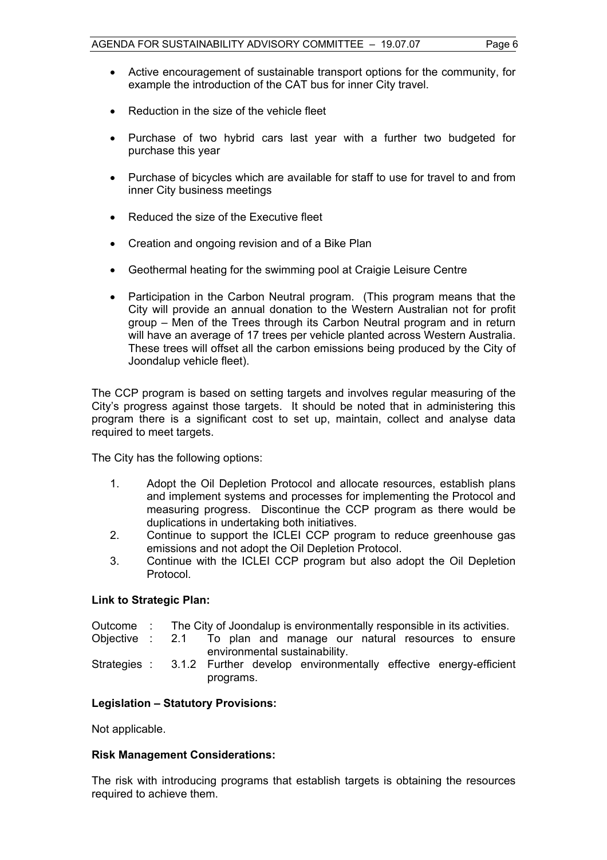- Active encouragement of sustainable transport options for the community, for example the introduction of the CAT bus for inner City travel.
- Reduction in the size of the vehicle fleet
- Purchase of two hybrid cars last year with a further two budgeted for purchase this year
- Purchase of bicycles which are available for staff to use for travel to and from inner City business meetings
- Reduced the size of the Executive fleet
- Creation and ongoing revision and of a Bike Plan
- Geothermal heating for the swimming pool at Craigie Leisure Centre
- Participation in the Carbon Neutral program. (This program means that the City will provide an annual donation to the Western Australian not for profit group – Men of the Trees through its Carbon Neutral program and in return will have an average of 17 trees per vehicle planted across Western Australia. These trees will offset all the carbon emissions being produced by the City of Joondalup vehicle fleet).

The CCP program is based on setting targets and involves regular measuring of the City's progress against those targets. It should be noted that in administering this program there is a significant cost to set up, maintain, collect and analyse data required to meet targets.

The City has the following options:

- 1. Adopt the Oil Depletion Protocol and allocate resources, establish plans and implement systems and processes for implementing the Protocol and measuring progress. Discontinue the CCP program as there would be duplications in undertaking both initiatives.
- 2. Continue to support the ICLEI CCP program to reduce greenhouse gas emissions and not adopt the Oil Depletion Protocol.
- 3. Continue with the ICLEI CCP program but also adopt the Oil Depletion Protocol.

#### **Link to Strategic Plan:**

| The City of Joondalup is environmentally responsible in its activities. | Outcome |  |  |  |  |  |
|-------------------------------------------------------------------------|---------|--|--|--|--|--|
|-------------------------------------------------------------------------|---------|--|--|--|--|--|

Objective : 2.1 To plan and manage our natural resources to ensure environmental sustainability.

Strategies : 3.1.2 Further develop environmentally effective energy-efficient programs.

#### **Legislation – Statutory Provisions:**

Not applicable.

#### **Risk Management Considerations:**

The risk with introducing programs that establish targets is obtaining the resources required to achieve them.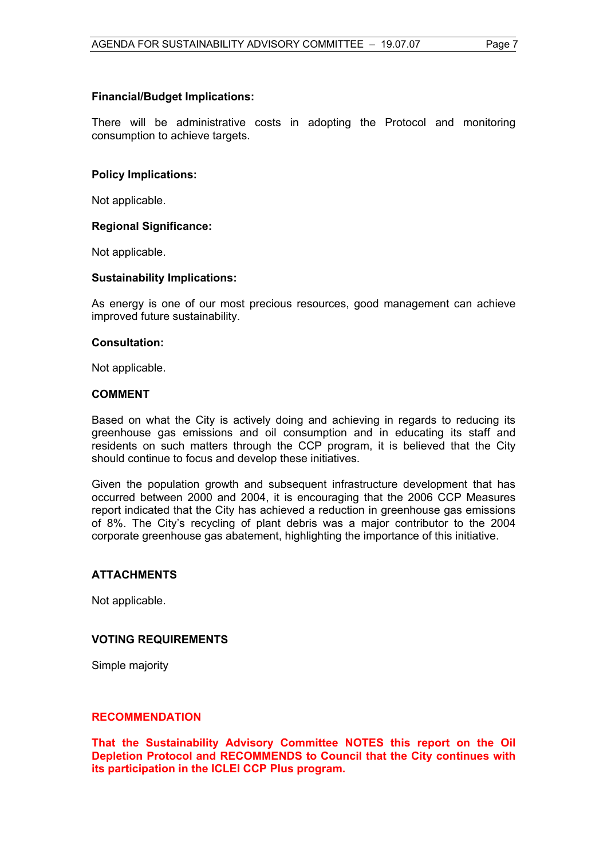#### **Financial/Budget Implications:**

There will be administrative costs in adopting the Protocol and monitoring consumption to achieve targets.

#### **Policy Implications:**

Not applicable.

#### **Regional Significance:**

Not applicable.

#### **Sustainability Implications:**

As energy is one of our most precious resources, good management can achieve improved future sustainability.

#### **Consultation:**

Not applicable.

#### **COMMENT**

Based on what the City is actively doing and achieving in regards to reducing its greenhouse gas emissions and oil consumption and in educating its staff and residents on such matters through the CCP program, it is believed that the City should continue to focus and develop these initiatives.

Given the population growth and subsequent infrastructure development that has occurred between 2000 and 2004, it is encouraging that the 2006 CCP Measures report indicated that the City has achieved a reduction in greenhouse gas emissions of 8%. The City's recycling of plant debris was a major contributor to the 2004 corporate greenhouse gas abatement, highlighting the importance of this initiative.

#### **ATTACHMENTS**

Not applicable.

#### **VOTING REQUIREMENTS**

Simple majority

#### **RECOMMENDATION**

**That the Sustainability Advisory Committee NOTES this report on the Oil Depletion Protocol and RECOMMENDS to Council that the City continues with its participation in the ICLEI CCP Plus program.**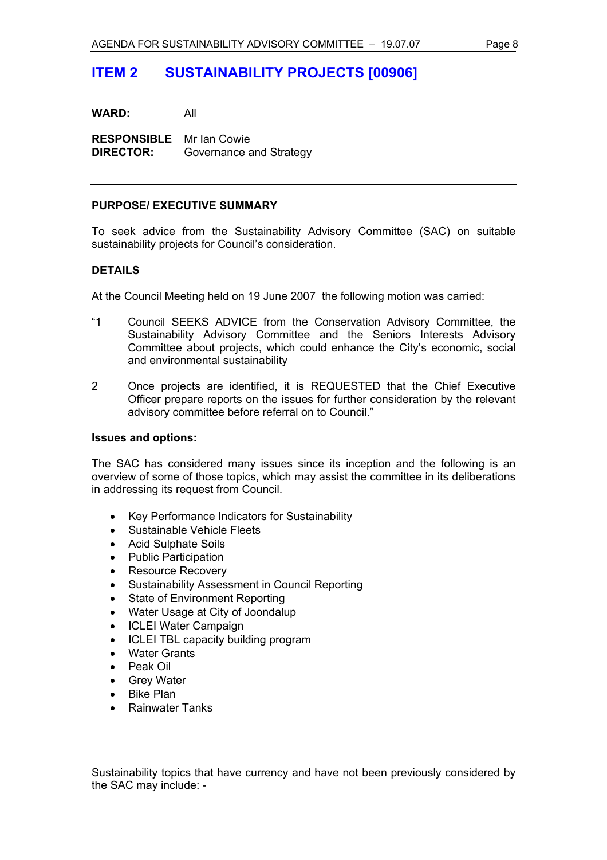## **ITEM 2 SUSTAINABILITY PROJECTS [00906]**

**WARD:** All

**RESPONSIBLE** Mr Ian Cowie **DIRECTOR:** Governance and Strategy

#### **PURPOSE/ EXECUTIVE SUMMARY**

To seek advice from the Sustainability Advisory Committee (SAC) on suitable sustainability projects for Council's consideration.

#### **DETAILS**

At the Council Meeting held on 19 June 2007 the following motion was carried:

- "1 Council SEEKS ADVICE from the Conservation Advisory Committee, the Sustainability Advisory Committee and the Seniors Interests Advisory Committee about projects, which could enhance the City's economic, social and environmental sustainability
- 2 Once projects are identified, it is REQUESTED that the Chief Executive Officer prepare reports on the issues for further consideration by the relevant advisory committee before referral on to Council."

#### **Issues and options:**

The SAC has considered many issues since its inception and the following is an overview of some of those topics, which may assist the committee in its deliberations in addressing its request from Council.

- Key Performance Indicators for Sustainability
- Sustainable Vehicle Fleets
- Acid Sulphate Soils
- Public Participation
- Resource Recovery
- Sustainability Assessment in Council Reporting
- State of Environment Reporting
- Water Usage at City of Joondalup
- ICLEI Water Campaign
- ICLEI TBL capacity building program
- **Water Grants**
- Peak Oil
- Grey Water
- Bike Plan
- Rainwater Tanks

Sustainability topics that have currency and have not been previously considered by the SAC may include: -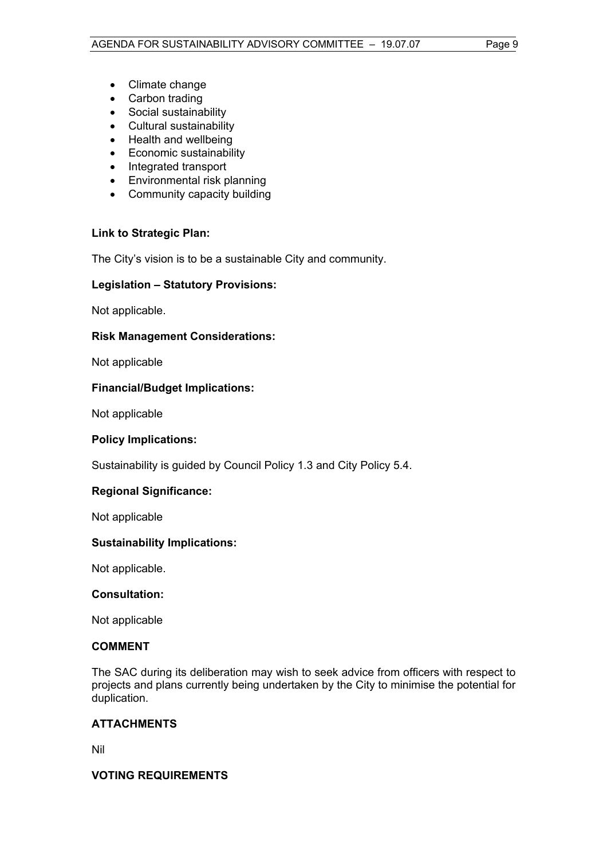- Climate change
- Carbon trading
- Social sustainability
- Cultural sustainability
- Health and wellbeing
- Economic sustainability
- Integrated transport
- Environmental risk planning
- Community capacity building

#### **Link to Strategic Plan:**

The City's vision is to be a sustainable City and community.

#### **Legislation – Statutory Provisions:**

Not applicable.

#### **Risk Management Considerations:**

Not applicable

#### **Financial/Budget Implications:**

Not applicable

#### **Policy Implications:**

Sustainability is guided by Council Policy 1.3 and City Policy 5.4.

#### **Regional Significance:**

Not applicable

#### **Sustainability Implications:**

Not applicable.

#### **Consultation:**

Not applicable

#### **COMMENT**

The SAC during its deliberation may wish to seek advice from officers with respect to projects and plans currently being undertaken by the City to minimise the potential for duplication.

#### **ATTACHMENTS**

Nil

#### **VOTING REQUIREMENTS**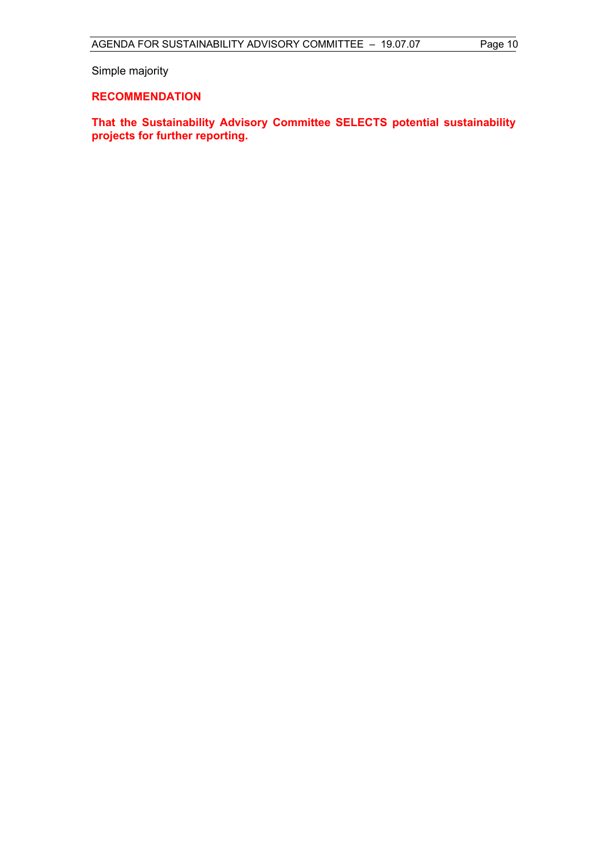Simple majority

#### **RECOMMENDATION**

**That the Sustainability Advisory Committee SELECTS potential sustainability projects for further reporting.**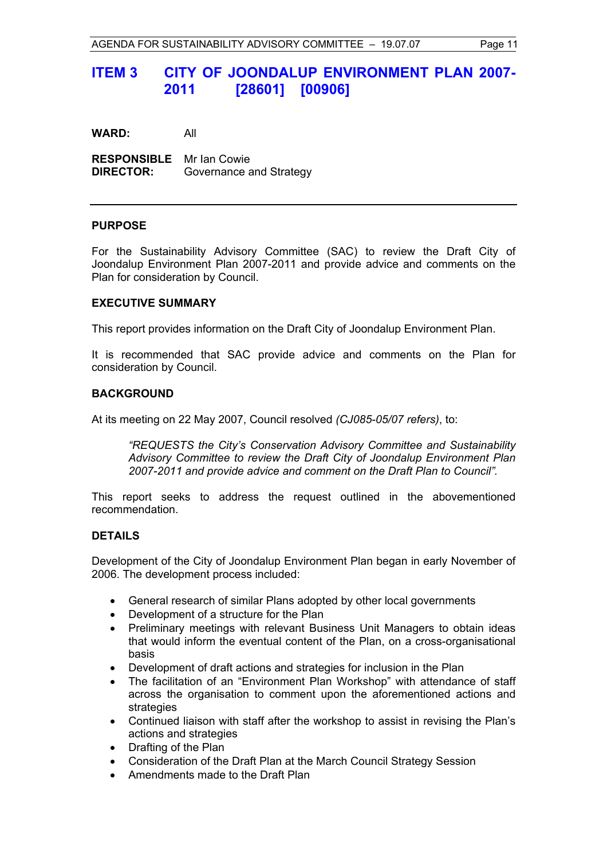### **ITEM 3 CITY OF JOONDALUP ENVIRONMENT PLAN 2007- 2011 [28601] [00906]**

**WARD:** All

**RESPONSIBLE** Mr Ian Cowie **DIRECTOR:** Governance and Strategy

#### **PURPOSE**

For the Sustainability Advisory Committee (SAC) to review the Draft City of Joondalup Environment Plan 2007-2011 and provide advice and comments on the Plan for consideration by Council.

#### **EXECUTIVE SUMMARY**

This report provides information on the Draft City of Joondalup Environment Plan.

It is recommended that SAC provide advice and comments on the Plan for consideration by Council.

#### **BACKGROUND**

At its meeting on 22 May 2007, Council resolved *(CJ085-05/07 refers)*, to:

*"REQUESTS the City's Conservation Advisory Committee and Sustainability Advisory Committee to review the Draft City of Joondalup Environment Plan 2007-2011 and provide advice and comment on the Draft Plan to Council".* 

This report seeks to address the request outlined in the abovementioned recommendation.

#### **DETAILS**

Development of the City of Joondalup Environment Plan began in early November of 2006. The development process included:

- General research of similar Plans adopted by other local governments
- Development of a structure for the Plan
- Preliminary meetings with relevant Business Unit Managers to obtain ideas that would inform the eventual content of the Plan, on a cross-organisational basis
- Development of draft actions and strategies for inclusion in the Plan
- The facilitation of an "Environment Plan Workshop" with attendance of staff across the organisation to comment upon the aforementioned actions and strategies
- Continued liaison with staff after the workshop to assist in revising the Plan's actions and strategies
- Drafting of the Plan
- Consideration of the Draft Plan at the March Council Strategy Session
- Amendments made to the Draft Plan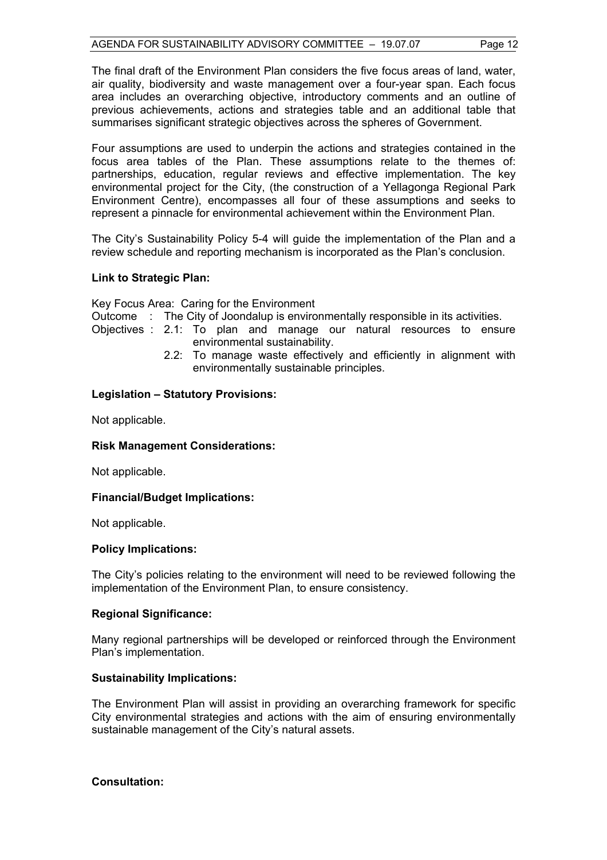The final draft of the Environment Plan considers the five focus areas of land, water, air quality, biodiversity and waste management over a four-year span. Each focus area includes an overarching objective, introductory comments and an outline of previous achievements, actions and strategies table and an additional table that summarises significant strategic objectives across the spheres of Government.

Four assumptions are used to underpin the actions and strategies contained in the focus area tables of the Plan. These assumptions relate to the themes of: partnerships, education, regular reviews and effective implementation. The key environmental project for the City, (the construction of a Yellagonga Regional Park Environment Centre), encompasses all four of these assumptions and seeks to represent a pinnacle for environmental achievement within the Environment Plan.

The City's Sustainability Policy 5-4 will guide the implementation of the Plan and a review schedule and reporting mechanism is incorporated as the Plan's conclusion.

#### **Link to Strategic Plan:**

Key Focus Area: Caring for the Environment

Outcome : The City of Joondalup is environmentally responsible in its activities.

Objectives : 2.1: To plan and manage our natural resources to ensure environmental sustainability.

 2.2: To manage waste effectively and efficiently in alignment with environmentally sustainable principles.

#### **Legislation – Statutory Provisions:**

Not applicable.

#### **Risk Management Considerations:**

Not applicable.

#### **Financial/Budget Implications:**

Not applicable.

#### **Policy Implications:**

The City's policies relating to the environment will need to be reviewed following the implementation of the Environment Plan, to ensure consistency.

#### **Regional Significance:**

Many regional partnerships will be developed or reinforced through the Environment Plan's implementation.

#### **Sustainability Implications:**

The Environment Plan will assist in providing an overarching framework for specific City environmental strategies and actions with the aim of ensuring environmentally sustainable management of the City's natural assets.

#### **Consultation:**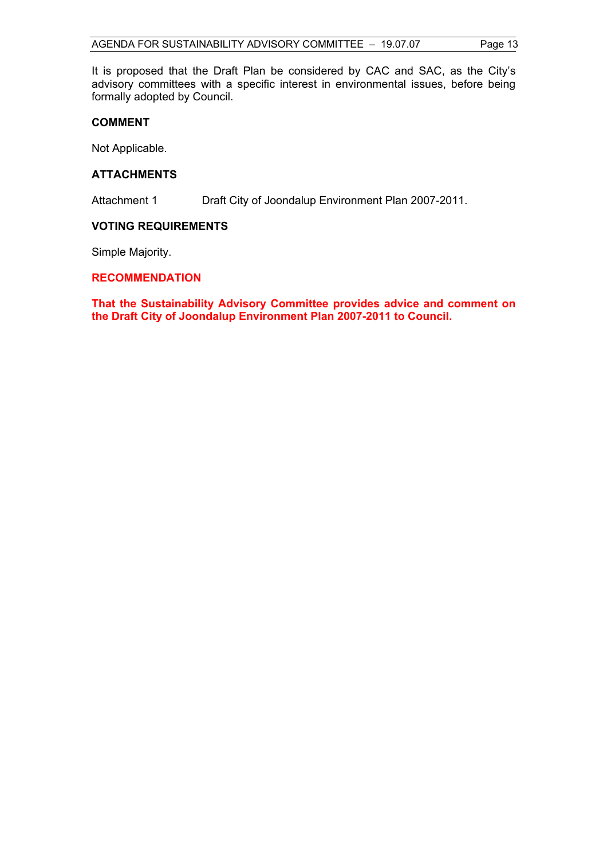It is proposed that the Draft Plan be considered by CAC and SAC, as the City's advisory committees with a specific interest in environmental issues, before being formally adopted by Council.

#### **COMMENT**

Not Applicable.

#### **ATTACHMENTS**

Attachment 1 Draft City of Joondalup Environment Plan 2007-2011.

#### **VOTING REQUIREMENTS**

Simple Majority.

#### **RECOMMENDATION**

**That the Sustainability Advisory Committee provides advice and comment on the Draft City of Joondalup Environment Plan 2007-2011 to Council.**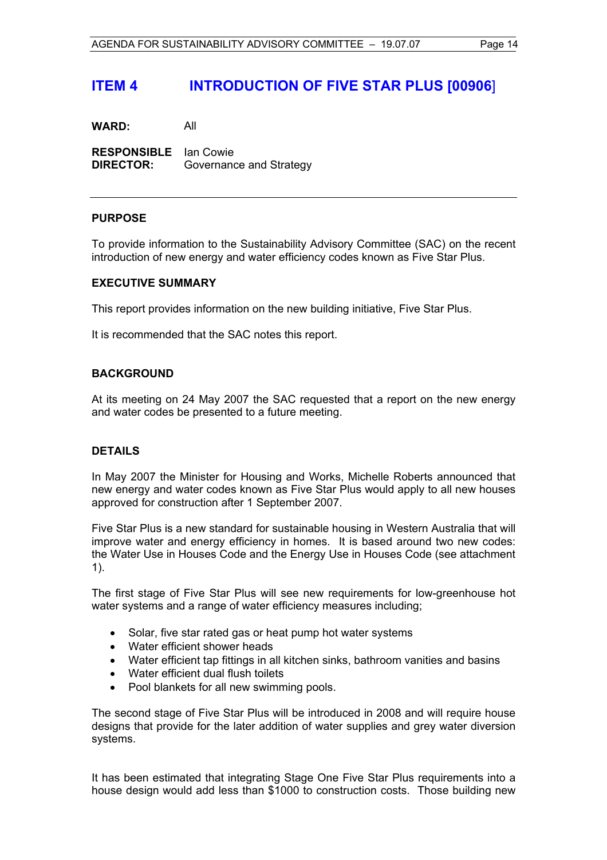### **ITEM 4 INTRODUCTION OF FIVE STAR PLUS [00906**]

**WARD:** All

**RESPONSIBLE** Ian Cowie **DIRECTOR:** Governance and Strategy

#### **PURPOSE**

To provide information to the Sustainability Advisory Committee (SAC) on the recent introduction of new energy and water efficiency codes known as Five Star Plus.

#### **EXECUTIVE SUMMARY**

This report provides information on the new building initiative, Five Star Plus.

It is recommended that the SAC notes this report.

#### **BACKGROUND**

At its meeting on 24 May 2007 the SAC requested that a report on the new energy and water codes be presented to a future meeting.

#### **DETAILS**

In May 2007 the Minister for Housing and Works, Michelle Roberts announced that new energy and water codes known as Five Star Plus would apply to all new houses approved for construction after 1 September 2007.

Five Star Plus is a new standard for sustainable housing in Western Australia that will improve water and energy efficiency in homes. It is based around two new codes: the Water Use in Houses Code and the Energy Use in Houses Code (see attachment 1).

The first stage of Five Star Plus will see new requirements for low-greenhouse hot water systems and a range of water efficiency measures including;

- Solar, five star rated gas or heat pump hot water systems
- Water efficient shower heads
- Water efficient tap fittings in all kitchen sinks, bathroom vanities and basins
- Water efficient dual flush toilets
- Pool blankets for all new swimming pools.

The second stage of Five Star Plus will be introduced in 2008 and will require house designs that provide for the later addition of water supplies and grey water diversion systems.

It has been estimated that integrating Stage One Five Star Plus requirements into a house design would add less than \$1000 to construction costs. Those building new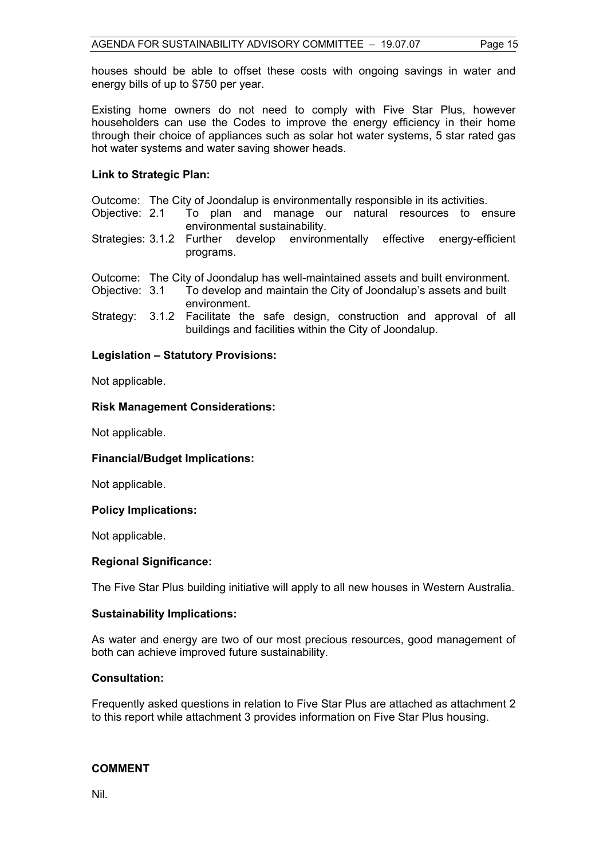houses should be able to offset these costs with ongoing savings in water and energy bills of up to \$750 per year.

Existing home owners do not need to comply with Five Star Plus, however householders can use the Codes to improve the energy efficiency in their home through their choice of appliances such as solar hot water systems, 5 star rated gas hot water systems and water saving shower heads.

#### **Link to Strategic Plan:**

Outcome: The City of Joondalup is environmentally responsible in its activities.

- Objective: 2.1 To plan and manage our natural resources to ensure environmental sustainability.
- Strategies: 3.1.2 Further develop environmentally effective energy-efficient programs.

Outcome: The City of Joondalup has well-maintained assets and built environment.

- Objective: 3.1 To develop and maintain the City of Joondalup's assets and built environment.
- Strategy: 3.1.2 Facilitate the safe design, construction and approval of all buildings and facilities within the City of Joondalup.

#### **Legislation – Statutory Provisions:**

Not applicable.

#### **Risk Management Considerations:**

Not applicable.

#### **Financial/Budget Implications:**

Not applicable.

#### **Policy Implications:**

Not applicable.

#### **Regional Significance:**

The Five Star Plus building initiative will apply to all new houses in Western Australia.

#### **Sustainability Implications:**

As water and energy are two of our most precious resources, good management of both can achieve improved future sustainability.

#### **Consultation:**

Frequently asked questions in relation to Five Star Plus are attached as attachment 2 to this report while attachment 3 provides information on Five Star Plus housing.

#### **COMMENT**

Nil.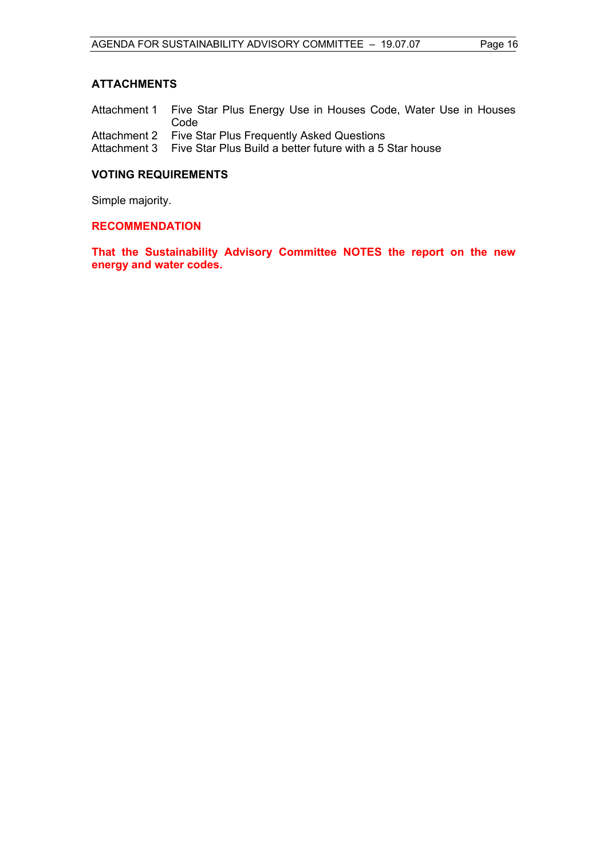#### **ATTACHMENTS**

Attachment 1 Five Star Plus Energy Use in Houses Code, Water Use in Houses Code

Attachment 2 Five Star Plus Frequently Asked Questions

Attachment 3 Five Star Plus Build a better future with a 5 Star house

#### **VOTING REQUIREMENTS**

Simple majority.

#### **RECOMMENDATION**

**That the Sustainability Advisory Committee NOTES the report on the new energy and water codes.**